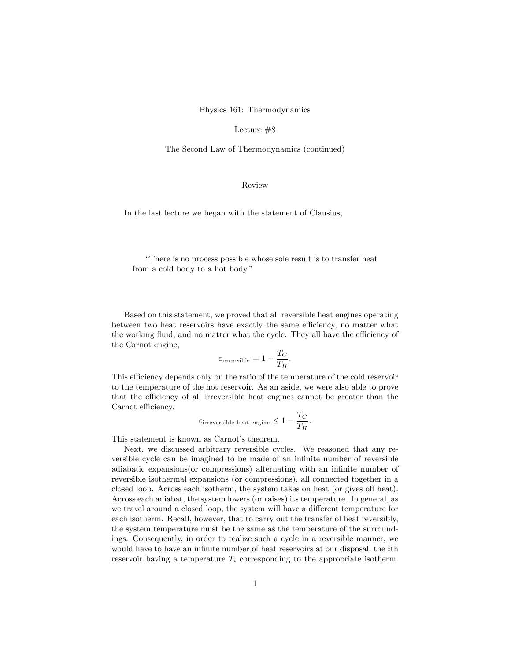Physics 161: Thermodynamics

Lecture #8

The Second Law of Thermodynamics (continued)

## Review

In the last lecture we began with the statement of Clausius,

ìThere is no process possible whose sole result is to transfer heat from a cold body to a hot body."

Based on this statement, we proved that all reversible heat engines operating between two heat reservoirs have exactly the same efficiency, no matter what the working fluid, and no matter what the cycle. They all have the efficiency of the Carnot engine,

$$
\varepsilon_{\text{reversible}} = 1 - \frac{T_C}{T_H}.
$$

This efficiency depends only on the ratio of the temperature of the cold reservoir to the temperature of the hot reservoir. As an aside, we were also able to prove that the efficiency of all irreversible heat engines cannot be greater than the Carnot efficiency.

$$
\varepsilon_{\text{irreversible heat engine}} \le 1 - \frac{T_C}{T_H}.
$$

This statement is known as Carnot's theorem.

Next, we discussed arbitrary reversible cycles. We reasoned that any reversible cycle can be imagined to be made of an infinite number of reversible adiabatic expansions (or compressions) alternating with an infinite number of reversible isothermal expansions (or compressions), all connected together in a closed loop. Across each isotherm, the system takes on heat (or gives off heat). Across each adiabat, the system lowers (or raises) its temperature. In general, as we travel around a closed loop, the system will have a different temperature for each isotherm. Recall, however, that to carry out the transfer of heat reversibly, the system temperature must be the same as the temperature of the surroundings. Consequently, in order to realize such a cycle in a reversible manner, we would have to have an infinite number of heat reservoirs at our disposal, the *i*th reservoir having a temperature  $T_i$  corresponding to the appropriate isotherm.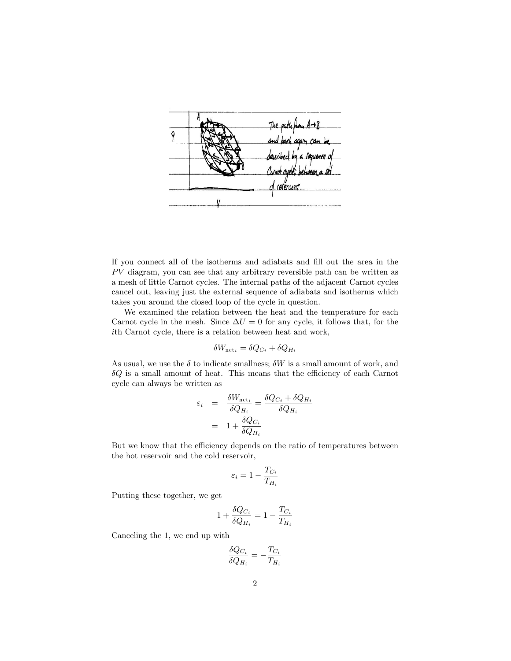

If you connect all of the isotherms and adiabats and Öll out the area in the  $PV$  diagram, you can see that any arbitrary reversible path can be written as a mesh of little Carnot cycles. The internal paths of the adjacent Carnot cycles cancel out, leaving just the external sequence of adiabats and isotherms which takes you around the closed loop of the cycle in question.

We examined the relation between the heat and the temperature for each Carnot cycle in the mesh. Since  $\Delta U = 0$  for any cycle, it follows that, for the ith Carnot cycle, there is a relation between heat and work,

$$
\delta W_{\text{net}_i} = \delta Q_{C_i} + \delta Q_{H_i}
$$

As usual, we use the  $\delta$  to indicate smallness;  $\delta W$  is a small amount of work, and  $\delta Q$  is a small amount of heat. This means that the efficiency of each Carnot cycle can always be written as

$$
\varepsilon_i = \frac{\delta W_{\text{net}_i}}{\delta Q_{H_i}} = \frac{\delta Q_{C_i} + \delta Q_{H_i}}{\delta Q_{H_i}}
$$

$$
= 1 + \frac{\delta Q_{C_i}}{\delta Q_{H_i}}
$$

But we know that the efficiency depends on the ratio of temperatures between the hot reservoir and the cold reservoir,

$$
\varepsilon_i = 1 - \frac{T_{C_i}}{T_{H_i}}
$$

Putting these together, we get

$$
1 + \frac{\delta Q_{C_i}}{\delta Q_{H_i}} = 1 - \frac{T_{C_i}}{T_{H_i}}
$$

Canceling the 1, we end up with

$$
\frac{\delta Q_{C_i}}{\delta Q_{H_i}} = -\frac{T_{C_i}}{T_{H_i}}
$$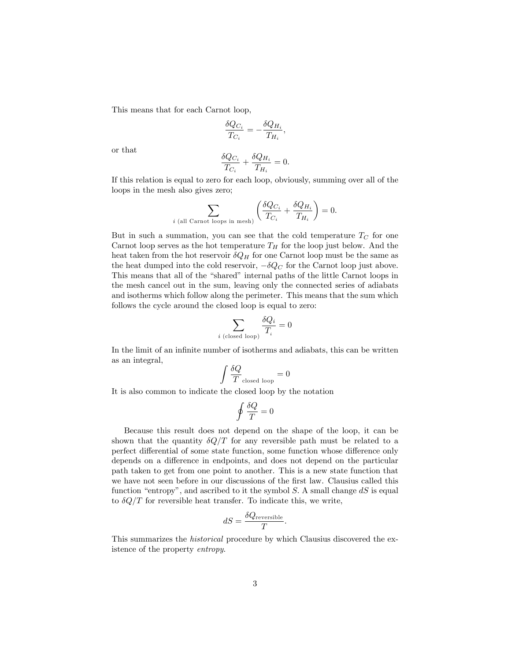This means that for each Carnot loop,

$$
\frac{\delta Q_{C_i}}{T_{C_i}} = -\frac{\delta Q_{H_i}}{T_{H_i}},
$$

or that

$$
\frac{\delta Q_{C_i}}{T_{C_i}} + \frac{\delta Q_{H_i}}{T_{H_i}} = 0.
$$

If this relation is equal to zero for each loop, obviously, summing over all of the loops in the mesh also gives zero;

$$
\sum_{i \text{ (all Carnot loops in mesh)}} \left( \frac{\delta Q_{C_i}}{T_{C_i}} + \frac{\delta Q_{H_i}}{T_{H_i}} \right) = 0.
$$

But in such a summation, you can see that the cold temperature  $T_C$  for one Carnot loop serves as the hot temperature  $T_H$  for the loop just below. And the heat taken from the hot reservoir  $\delta Q_H$  for one Carnot loop must be the same as the heat dumped into the cold reservoir,  $-\delta Q_C$  for the Carnot loop just above. This means that all of the "shared" internal paths of the little Carnot loops in the mesh cancel out in the sum, leaving only the connected series of adiabats and isotherms which follow along the perimeter. This means that the sum which follows the cycle around the closed loop is equal to zero:

$$
\sum_{i\,\, \textrm{(closed loop)}}\frac{\delta Q_i}{T_i}=0
$$

In the limit of an infinite number of isotherms and adiabats, this can be written as an integral,

$$
\int \frac{\delta Q}{T}_{\text{closed loop}} = 0
$$

It is also common to indicate the closed loop by the notation

$$
\oint \frac{\delta Q}{T}=0
$$

Because this result does not depend on the shape of the loop, it can be shown that the quantity  $\delta Q/T$  for any reversible path must be related to a perfect differential of some state function, some function whose difference only depends on a difference in endpoints, and does not depend on the particular path taken to get from one point to another. This is a new state function that we have not seen before in our discussions of the first law. Clausius called this function "entropy", and ascribed to it the symbol  $S$ . A small change  $dS$  is equal to  $\delta Q/T$  for reversible heat transfer. To indicate this, we write,

$$
dS = \frac{\delta Q_{\text{reversible}}}{T}.
$$

This summarizes the historical procedure by which Clausius discovered the existence of the property entropy.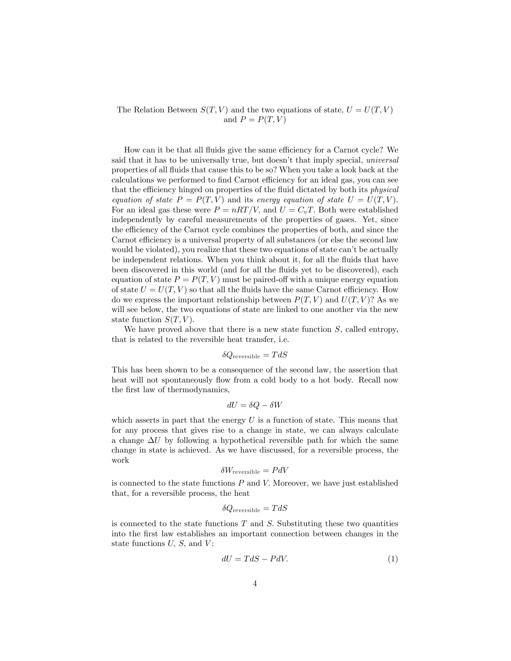The Relation Between  $S(T, V)$  and the two equations of state,  $U = U(T, V)$ and  $P = P(T, V)$ 

How can it be that all fluids give the same efficiency for a Carnot cycle? We said that it has to be universally true, but doesn't that imply special, *universal* properties of all fluids that cause this to be so? When you take a look back at the calculations we performed to find Carnot efficiency for an ideal gas, you can see that the efficiency hinged on properties of the fluid dictated by both its *physical* equation of state  $P = P(T, V)$  and its energy equation of state  $U = U(T, V)$ . For an ideal gas these were  $P = nRT/V$ , and  $U = C_vT$ . Both were established independently by careful measurements of the properties of gases. Yet, since the efficiency of the Carnot cycle combines the properties of both, and since the Carnot efficiency is a universal property of all substances (or else the second law would be violated), you realize that these two equations of state can't be actually be independent relations. When you think about it, for all the fluids that have been discovered in this world (and for all the fluids yet to be discovered), each equation of state  $P = P(T, V)$  must be paired-off with a unique energy equation of state  $U = U(T, V)$  so that all the fluids have the same Carnot efficiency. How do we express the important relationship between  $P(T, V)$  and  $U(T, V)$ ? As we will see below, the two equations of state are linked to one another via the new state function  $S(T, V)$ .

We have proved above that there is a new state function  $S$ , called entropy, that is related to the reversible heat transfer, i.e.

$$
\delta Q_{\rm reversible}=TdS
$$

This has been shown to be a consequence of the second law, the assertion that heat will not spontaneously flow from a cold body to a hot body. Recall now the first law of thermodynamics,

$$
dU = \delta Q - \delta W
$$

which asserts in part that the energy  $U$  is a function of state. This means that for any process that gives rise to a change in state, we can always calculate a change  $\Delta U$  by following a hypothetical reversible path for which the same change in state is achieved. As we have discussed, for a reversible process, the work

$$
\delta W_{\rm reversible}=PdV
$$

is connected to the state functions  $P$  and  $V$ . Moreover, we have just established that, for a reversible process, the heat

$$
\delta Q_{\rm reversible}=TdS
$$

is connected to the state functions  $T$  and  $S$ . Substituting these two quantities into the first law establishes an important connection between changes in the state functions  $U, S$ , and  $V$ :

$$
dU = TdS - PdV. \tag{1}
$$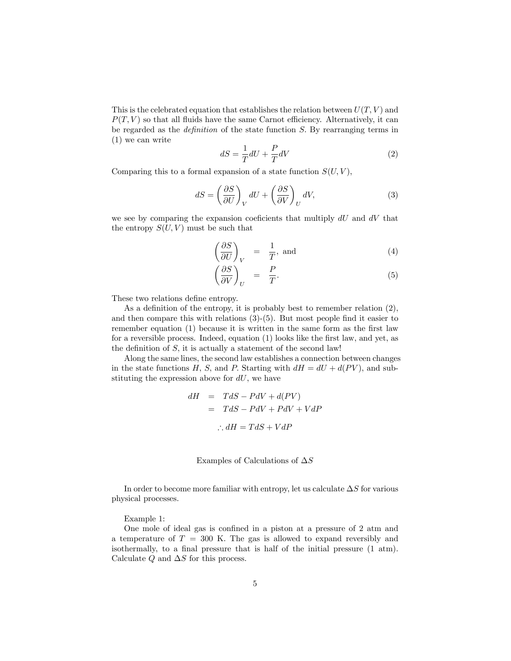This is the celebrated equation that establishes the relation between  $U(T, V)$  and  $P(T, V)$  so that all fluids have the same Carnot efficiency. Alternatively, it can be regarded as the *definition* of the state function  $S$ . By rearranging terms in (1) we can write

$$
dS = \frac{1}{T}dU + \frac{P}{T}dV\tag{2}
$$

Comparing this to a formal expansion of a state function  $S(U, V)$ ,

$$
dS = \left(\frac{\partial S}{\partial U}\right)_V dU + \left(\frac{\partial S}{\partial V}\right)_U dV,\tag{3}
$$

we see by comparing the expansion coeficients that multiply  $dU$  and  $dV$  that the entropy  $S(U, V)$  must be such that

$$
\left(\frac{\partial S}{\partial U}\right)_V = \frac{1}{T}, \text{ and} \tag{4}
$$

$$
\left(\frac{\partial S}{\partial V}\right)_U = \frac{P}{T}.
$$
\n(5)

These two relations define entropy.

As a definition of the entropy, it is probably best to remember relation  $(2)$ , and then compare this with relations  $(3)-(5)$ . But most people find it easier to remember equation  $(1)$  because it is written in the same form as the first law for a reversible process. Indeed, equation (1) looks like the first law, and yet, as the definition of  $S$ , it is actually a statement of the second law!

Along the same lines, the second law establishes a connection between changes in the state functions H, S, and P. Starting with  $dH = dU + d(PV)$ , and substituting the expression above for  $dU$ , we have

$$
dH = TdS - PdV + d(PV)
$$
  
= TdS - PdV + PdV + VdP  

$$
\therefore dH = TdS + VdP
$$

Examples of Calculations of  $\Delta S$ 

In order to become more familiar with entropy, let us calculate  $\Delta S$  for various physical processes.

Example 1:

One mole of ideal gas is confined in a piston at a pressure of 2 atm and a temperature of  $T = 300$  K. The gas is allowed to expand reversibly and isothermally, to a final pressure that is half of the initial pressure  $(1 \text{ atm})$ . Calculate  $Q$  and  $\Delta S$  for this process.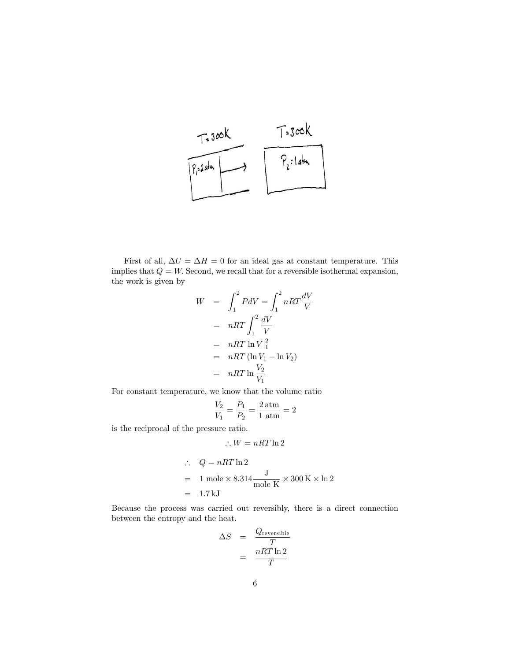

First of all,  $\Delta U = \Delta H = 0$  for an ideal gas at constant temperature. This implies that  $Q = W$ . Second, we recall that for a reversible isothermal expansion, the work is given by

$$
W = \int_{1}^{2} P dV = \int_{1}^{2} nRT \frac{dV}{V}
$$
  
=  $nRT \int_{1}^{2} \frac{dV}{V}$   
=  $nRT \ln V|_{1}^{2}$   
=  $nRT (\ln V_{1} - \ln V_{2})$   
=  $nRT \ln \frac{V_{2}}{V_{1}}$ 

For constant temperature, we know that the volume ratio

$$
\frac{V_2}{V_1} = \frac{P_1}{P_2} = \frac{2 \text{ atm}}{1 \text{ atm}} = 2
$$

is the reciprocal of the pressure ratio.

$$
\therefore W = nRT\ln 2
$$

$$
\therefore Q = nRT \ln 2
$$
  
= 1 mole × 8.314  $\frac{J}{\text{mole K}} \times 300 \text{ K} \times \ln 2$   
= 1.7 kJ

Because the process was carried out reversibly, there is a direct connection between the entropy and the heat.

$$
\Delta S = \frac{Q_{\text{reversible}}}{T}
$$

$$
= \frac{nRT \ln 2}{T}
$$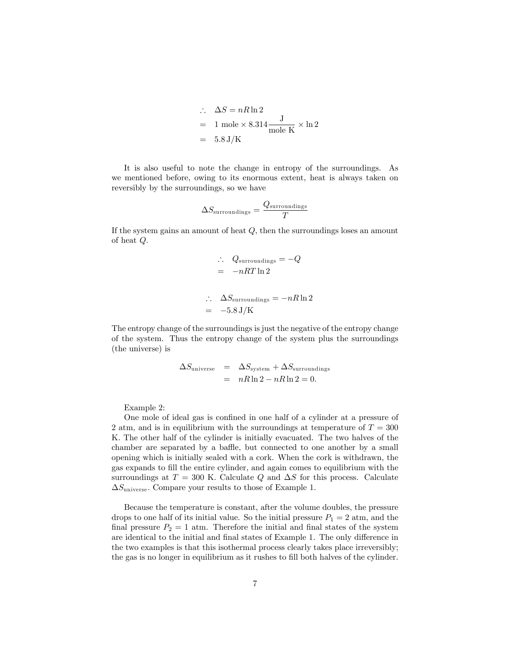$$
\therefore \quad \Delta S = nR \ln 2
$$
  
= 1 mole × 8.314  $\frac{J}{\text{mole K}} \times \ln 2$   
= 5.8 J/K

It is also useful to note the change in entropy of the surroundings. As we mentioned before, owing to its enormous extent, heat is always taken on reversibly by the surroundings, so we have

$$
\Delta S_{\rm surroundings}=\frac{Q_{\rm surroundings}}{T}
$$

If the system gains an amount of heat Q; then the surroundings loses an amount of heat Q:

$$
\therefore Q_{\text{surroundings}} = -Q
$$

$$
= -nRT \ln 2
$$

$$
\therefore \quad \Delta S_{\text{surroundings}} = -nR \ln 2
$$
  
= -5.8 J/K

The entropy change of the surroundings is just the negative of the entropy change of the system. Thus the entropy change of the system plus the surroundings (the universe) is

$$
\Delta S_{\text{universe}} = \Delta S_{\text{system}} + \Delta S_{\text{surroundings}}
$$
  
=  $nR \ln 2 - nR \ln 2 = 0.$ 

Example 2:

One mole of ideal gas is confined in one half of a cylinder at a pressure of 2 atm, and is in equilibrium with the surroundings at temperature of  $T = 300$ K. The other half of the cylinder is initially evacuated. The two halves of the chamber are separated by a baffle, but connected to one another by a small opening which is initially sealed with a cork. When the cork is withdrawn, the gas expands to fill the entire cylinder, and again comes to equilibrium with the surroundings at  $T = 300$  K. Calculate Q and  $\Delta S$  for this process. Calculate  $\Delta S_{\text{universe}}$ . Compare your results to those of Example 1.

Because the temperature is constant, after the volume doubles, the pressure drops to one half of its initial value. So the initial pressure  $P_1 = 2$  atm, and the final pressure  $P_2 = 1$  atm. Therefore the initial and final states of the system are identical to the initial and final states of Example 1. The only difference in the two examples is that this isothermal process clearly takes place irreversibly; the gas is no longer in equilibrium as it rushes to fill both halves of the cylinder.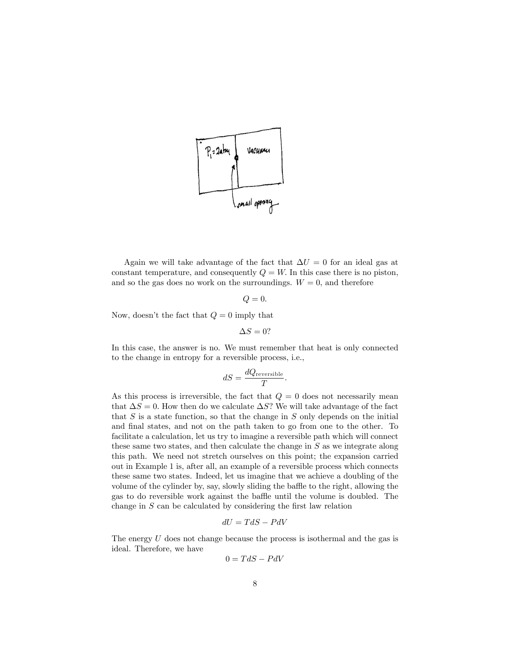

Again we will take advantage of the fact that  $\Delta U = 0$  for an ideal gas at constant temperature, and consequently  $Q = W$ . In this case there is no piston, and so the gas does no work on the surroundings.  $W = 0$ , and therefore

$$
Q=0.
$$

Now, doesn't the fact that  $Q = 0$  imply that

$$
\Delta S = 0?
$$

In this case, the answer is no. We must remember that heat is only connected to the change in entropy for a reversible process, i.e.,

$$
dS = \frac{dQ_{\text{reversible}}}{T}.
$$

As this process is irreversible, the fact that  $Q = 0$  does not necessarily mean that  $\Delta S = 0$ . How then do we calculate  $\Delta S$ ? We will take advantage of the fact that  $S$  is a state function, so that the change in  $S$  only depends on the initial and final states, and not on the path taken to go from one to the other. To facilitate a calculation, let us try to imagine a reversible path which will connect these same two states, and then calculate the change in S as we integrate along this path. We need not stretch ourselves on this point; the expansion carried out in Example 1 is, after all, an example of a reversible process which connects these same two states. Indeed, let us imagine that we achieve a doubling of the volume of the cylinder by, say, slowly sliding the baffle to the right, allowing the gas to do reversible work against the baffle until the volume is doubled. The change in  $S$  can be calculated by considering the first law relation

$$
dU = TdS - PdV
$$

The energy U does not change because the process is isothermal and the gas is ideal. Therefore, we have

$$
0 = TdS - PdV
$$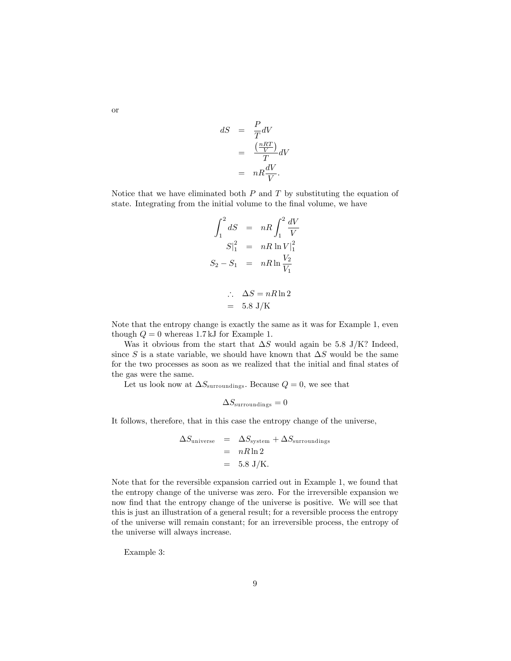$$
dS = \frac{P}{T}dV
$$
  
= 
$$
\frac{\left(\frac{nRT}{V}\right)}{T}dV
$$
  
= 
$$
nR\frac{dV}{V}.
$$

Notice that we have eliminated both  $P$  and  $T$  by substituting the equation of state. Integrating from the initial volume to the final volume, we have

$$
\int_{1}^{2} dS = nR \int_{1}^{2} \frac{dV}{V} \nS|_{1}^{2} = nR \ln V|_{1}^{2} \nS_{2} - S_{1} = nR \ln \frac{V_{2}}{V_{1}}
$$

$$
\therefore \quad \Delta S = nR \ln 2
$$
  
= 5.8 J/K

Note that the entropy change is exactly the same as it was for Example 1, even though  $Q = 0$  whereas 1.7 kJ for Example 1.

Was it obvious from the start that  $\Delta S$  would again be 5.8 J/K? Indeed, since S is a state variable, we should have known that  $\Delta S$  would be the same for the two processes as soon as we realized that the initial and final states of the gas were the same.

Let us look now at  $\Delta S_{\text{surroundings}}$ . Because  $Q = 0$ , we see that

$$
\Delta S_{\rm surroundings}=0
$$

It follows, therefore, that in this case the entropy change of the universe,

$$
\Delta S_{\text{universe}} = \Delta S_{\text{system}} + \Delta S_{\text{surroundings}}
$$
  
=  $nR \ln 2$   
= 5.8 J/K.

Note that for the reversible expansion carried out in Example 1, we found that the entropy change of the universe was zero. For the irreversible expansion we now find that the entropy change of the universe is positive. We will see that this is just an illustration of a general result; for a reversible process the entropy of the universe will remain constant; for an irreversible process, the entropy of the universe will always increase.

Example 3:

or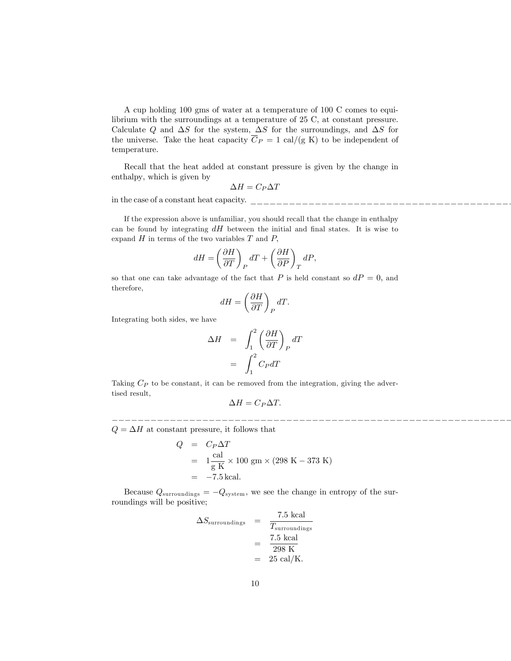A cup holding 100 gms of water at a temperature of 100 C comes to equilibrium with the surroundings at a temperature of 25 C, at constant pressure. Calculate Q and  $\Delta S$  for the system,  $\Delta S$  for the surroundings, and  $\Delta S$  for the universe. Take the heat capacity  $\overline{C}_P = 1$  cal/(g K) to be independent of temperature.

Recall that the heat added at constant pressure is given by the change in enthalpy; which is given by

$$
\Delta H = C_P \Delta T
$$

in the case of a constant heat capacity.

If the expression above is unfamiliar, you should recall that the change in enthalpy can be found by integrating  $dH$  between the initial and final states. It is wise to expand  $H$  in terms of the two variables  $T$  and  $P$ ,

$$
dH = \left(\frac{\partial H}{\partial T}\right)_P dT + \left(\frac{\partial H}{\partial P}\right)_T dP,
$$

so that one can take advantage of the fact that P is held constant so  $dP = 0$ , and therefore,

$$
dH = \left(\frac{\partial H}{\partial T}\right)_P dT.
$$

Integrating both sides, we have

$$
\Delta H = \int_{1}^{2} \left(\frac{\partial H}{\partial T}\right)_{P} dT
$$

$$
= \int_{1}^{2} C_{P} dT
$$

Taking  $C_P$  to be constant, it can be removed from the integration, giving the advertised result,

$$
\Delta H = C_P \Delta T.
$$

\_\_\_\_\_\_\_\_\_\_\_\_\_\_\_\_\_\_\_\_\_\_\_\_\_\_\_\_\_\_\_\_\_\_\_\_\_\_\_\_\_\_\_\_\_\_\_\_\_\_\_\_\_\_\_\_\_\_\_\_\_\_\_\_\_\_\_\_\_\_\_\_\_\_\_\_\_\_\_\_\_\_\_\_\_\_\_\_\_\_\_Since

 $Q = \Delta H$  at constant pressure, it follows that

$$
Q = C_P \Delta T
$$
  
=  $1 \frac{\text{cal}}{\text{g K}} \times 100 \text{ gm} \times (298 \text{ K} - 373 \text{ K})$   
= -7.5 kcal.

Because  $Q_{\text{surroundings}} = -Q_{\text{system}}$ , we see the change in entropy of the surroundings will be positive;

$$
\Delta S_{\text{surroundings}} = \frac{7.5 \text{ kcal}}{T_{\text{surroundings}}}
$$

$$
= \frac{7.5 \text{ kcal}}{298 \text{ K}}
$$

$$
= 25 \text{ cal/K}.
$$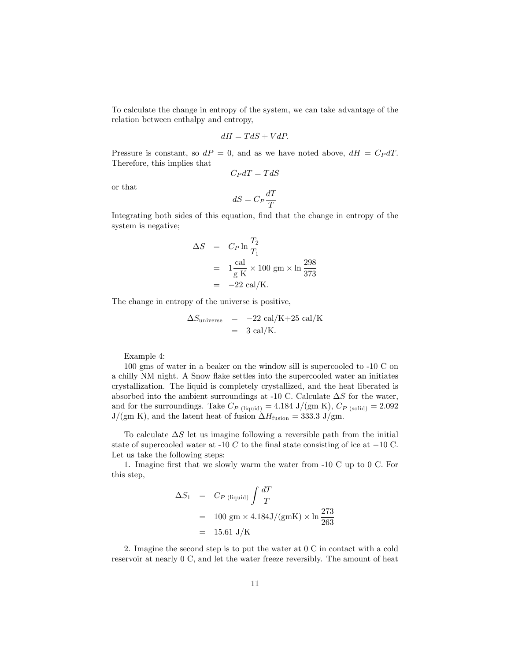To calculate the change in entropy of the system, we can take advantage of the relation between enthalpy and entropy,

$$
dH=TdS+VdP.
$$

Pressure is constant, so  $dP = 0$ , and as we have noted above,  $dH = C_P dT$ . Therefore, this implies that

$$
C_PdT=TdS
$$

or that

$$
dS = C_P \frac{dT}{T}
$$

Integrating both sides of this equation, find that the change in entropy of the system is negative;

$$
\Delta S = C_P \ln \frac{T_2}{T_1}
$$
  
=  $1 \frac{\text{cal}}{\text{g K}} \times 100 \text{ gm} \times \ln \frac{298}{373}$   
=  $-22 \text{ cal/K}.$ 

The change in entropy of the universe is positive,

$$
\Delta S_{\text{universe}} = -22 \text{ cal/K} + 25 \text{ cal/K}
$$

$$
= 3 \text{ cal/K}.
$$

Example 4:

100 gms of water in a beaker on the window sill is supercooled to -10 C on a chilly NM night. A Snow flake settles into the supercooled water an initiates crystallization. The liquid is completely crystallized, and the heat liberated is absorbed into the ambient surroundings at -10 C. Calculate  $\Delta S$  for the water, and for the surroundings. Take  $C_{P \text{ (liquid)}} = 4.184 \text{ J/(gm K)}, C_{P \text{ (solid)}} = 2.092$  $J/(gm K)$ , and the latent heat of fusion  $\Delta H_{fusion} = 333.3 \text{ J/gm}$ .

To calculate  $\Delta S$  let us imagine following a reversible path from the initial state of supercooled water at -10  $C$  to the final state consisting of ice at  $-10$  C. Let us take the following steps:

1. Imagine Örst that we slowly warm the water from -10 C up to 0 C. For this step,

$$
\Delta S_1 = C_{P \text{ (liquid)}} \int \frac{dT}{T}
$$
  
= 100 gm × 4.184J/(gmK) × ln  $\frac{273}{263}$   
= 15.61 J/K

2. Imagine the second step is to put the water at 0 C in contact with a cold reservoir at nearly 0 C, and let the water freeze reversibly. The amount of heat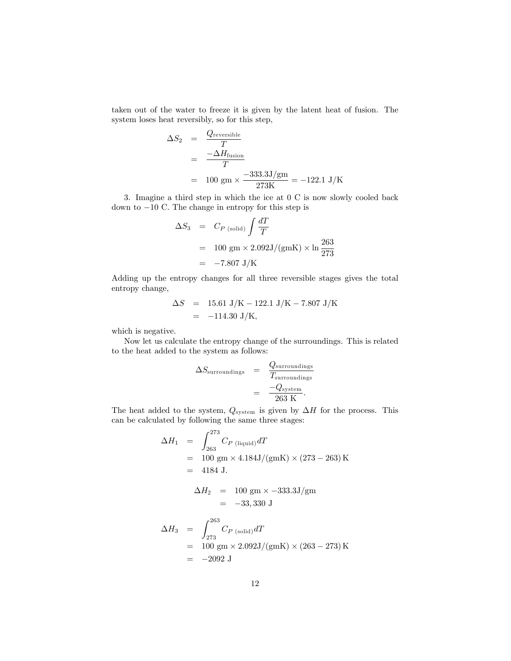taken out of the water to freeze it is given by the latent heat of fusion. The system loses heat reversibly, so for this step,

$$
\Delta S_2 = \frac{Q_{\text{reversible}}}{T}
$$
  
= 
$$
\frac{-\Delta H_{\text{fusion}}}{T}
$$
  
= 100 gm × 
$$
\frac{-333.3 \text{ J/gm}}{273 \text{K}}
$$
 = -122.1 J/K

3. Imagine a third step in which the ice at 0 C is now slowly cooled back down to  $-10$  C. The change in entropy for this step is

$$
\Delta S_3 = C_{P \text{ (solid)}} \int \frac{dT}{T}
$$
  
= 100 gm × 2.092J/(gmK) × ln  $\frac{263}{273}$   
= -7.807 J/K

Adding up the entropy changes for all three reversible stages gives the total entropy change,

$$
\Delta S = 15.61 \text{ J/K} - 122.1 \text{ J/K} - 7.807 \text{ J/K}
$$
  
= -114.30 J/K,

which is negative.

Now let us calculate the entropy change of the surroundings. This is related to the heat added to the system as follows:

$$
\Delta S_{\text{surroundings}} = \frac{Q_{\text{surroundings}}}{T_{\text{surroundings}}}
$$

$$
= \frac{-Q_{\text{system}}}{263 \text{ K}}.
$$

The heat added to the system,  $Q_{\text{system}}$  is given by  $\Delta H$  for the process. This can be calculated by following the same three stages:

$$
\Delta H_1 = \int_{263}^{273} C_{P \text{ (liquid)}} dT
$$
  
= 100 gm × 4.184J/(gmK) × (273 – 263) K  
= 4184 J.

$$
\Delta H_2 = 100 \text{ gm} \times -333.3 \text{ J/gm} \\
= -33,330 \text{ J}
$$

$$
\Delta H_3 = \int_{273}^{263} C_{P \text{ (solid)}} dT
$$
  
= 100 gm × 2.092J/(gmK) × (263 – 273) K  
= -2092 J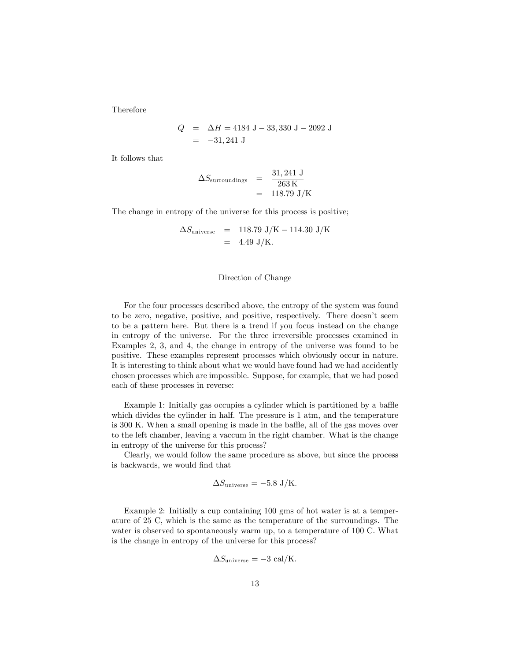Therefore

$$
Q = \Delta H = 4184 \text{ J} - 33,330 \text{ J} - 2092 \text{ J}
$$
  
= -31,241 J

It follows that

$$
\Delta S_{\text{surroundings}} = \frac{31,241 \text{ J}}{263 \text{ K}}
$$

$$
= 118.79 \text{ J/K}
$$

The change in entropy of the universe for this process is positive;

$$
\Delta S_{\text{universe}} = 118.79 \text{ J/K} - 114.30 \text{ J/K}
$$
  
= 4.49 J/K.

## Direction of Change

For the four processes described above, the entropy of the system was found to be zero, negative, positive, and positive, respectively. There doesn't seem to be a pattern here. But there is a trend if you focus instead on the change in entropy of the universe. For the three irreversible processes examined in Examples 2, 3, and 4, the change in entropy of the universe was found to be positive. These examples represent processes which obviously occur in nature. It is interesting to think about what we would have found had we had accidently chosen processes which are impossible. Suppose, for example, that we had posed each of these processes in reverse:

Example 1: Initially gas occupies a cylinder which is partitioned by a baffle which divides the cylinder in half. The pressure is 1 atm, and the temperature is 300 K. When a small opening is made in the baffle, all of the gas moves over to the left chamber, leaving a vaccum in the right chamber. What is the change in entropy of the universe for this process?

Clearly, we would follow the same procedure as above, but since the process is backwards, we would find that

$$
\Delta S_{\text{universe}} = -5.8 \text{ J/K}.
$$

Example 2: Initially a cup containing 100 gms of hot water is at a temperature of 25 C, which is the same as the temperature of the surroundings. The water is observed to spontaneously warm up, to a temperature of 100 C. What is the change in entropy of the universe for this process?

$$
\Delta S_{\text{universe}} = -3 \text{ cal/K}.
$$